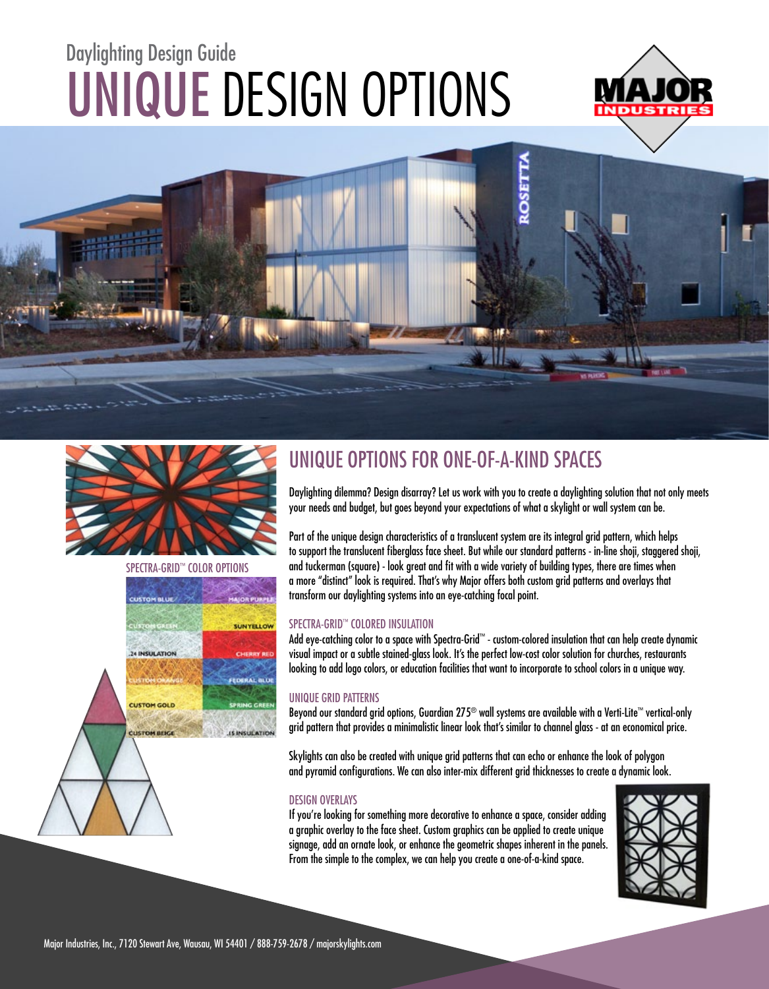# UNIQUE DESIGN OPTIONS Daylighting Design Guide







24 INSULATION

**CUSTOM GOLD** 

**CUSTOM BEK** 

SPECTRA-GRID™ COLOR OPTIONS

UNYELLOV

**IS INSUE ATIO** 



Daylighting dilemma? Design disarray? Let us work with you to create a daylighting solution that not only meets your needs and budget, but goes beyond your expectations of what a skylight or wall system can be.

Part of the unique design characteristics of a translucent system are its integral grid pattern, which helps to support the translucent fiberglass face sheet. But while our standard patterns - in-line shoji, staggered shoji, and tuckerman (square) - look great and fit with a wide variety of building types, there are times when a more "distinct" look is required. That's why Major offers both custom grid patterns and overlays that transform our daylighting systems into an eye-catching focal point.

#### SPECTRA-GRID™ COLORED INSULATION

Add eye-catching color to a space with Spectra-Grid™ - custom-colored insulation that can help create dynamic visual impact or a subtle stained-glass look. It's the perfect low-cost color solution for churches, restaurants looking to add logo colors, or education facilities that want to incorporate to school colors in a unique way.

#### UNIQUE GRID PATTERNS

Beyond our standard grid options, Guardian 275® wall systems are available with a Verti-Lite™ vertical-only grid pattern that provides a minimalistic linear look that's similar to channel glass - at an economical price.

Skylights can also be created with unique grid patterns that can echo or enhance the look of polygon and pyramid configurations. We can also inter-mix different grid thicknesses to create a dynamic look.

#### DESIGN OVERLAYS

If you're looking for something more decorative to enhance a space, consider adding a graphic overlay to the face sheet. Custom graphics can be applied to create unique signage, add an ornate look, or enhance the geometric shapes inherent in the panels. From the simple to the complex, we can help you create a one-of-a-kind space.